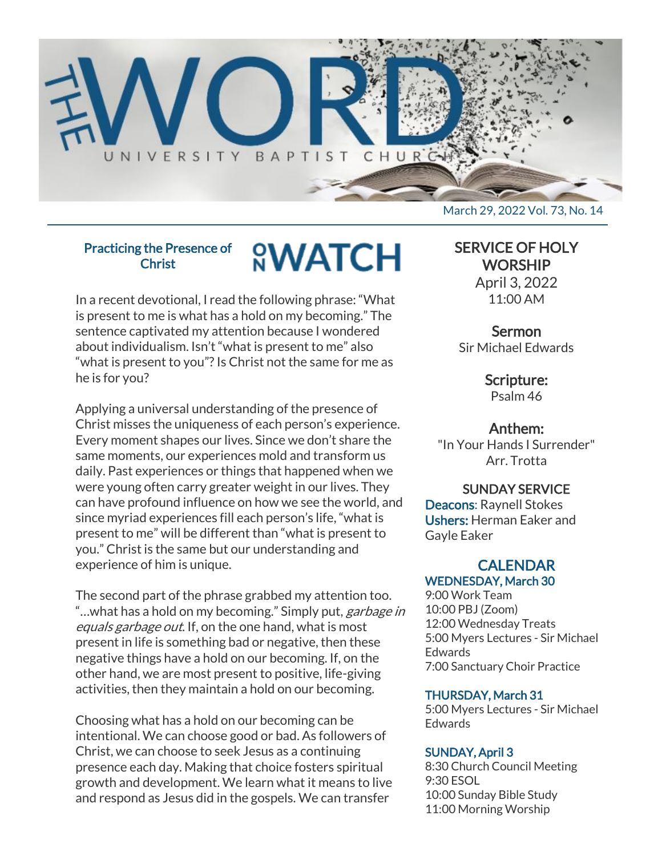

# Practicing the Presence of Christ

# **<sup><u>O</sup>WATCH</u>**</sup>

In a recent devotional, I read the following phrase: "What is present to me is what has a hold on my becoming." The sentence captivated my attention because I wondered about individualism. Isn't "what is present to me" also "what is present to you"? Is Christ not the same for me as he is for you?

Applying a universal understanding of the presence of Christ misses the uniqueness of each person's experience. Every moment shapes our lives. Since we don't share the same moments, our experiences mold and transform us daily. Past experiences or things that happened when we were young often carry greater weight in our lives. They can have profound influence on how we see the world, and since myriad experiences fill each person's life, "what is present to me" will be different than "what is present to you." Christ is the same but our understanding and experience of him is unique.

The second part of the phrase grabbed my attention too. "...what has a hold on my becoming." Simply put, garbage in equals garbage out. If, on the one hand, what is most present in life is something bad or negative, then these negative things have a hold on our becoming. If, on the other hand, we are most present to positive, life-giving activities, then they maintain a hold on our becoming.

Choosing what has a hold on our becoming can be intentional. We can choose good or bad. As followers of Christ, we can choose to seek Jesus as a continuing presence each day. Making that choice fosters spiritual growth and development. We learn what it means to live and respond as Jesus did in the gospels. We can transfer

SERVICE OF HOLY **WORSHIP** 

April 3, 2022 11:00 AM

# Sermon

Sir Michael Edwards

Scripture:

Psalm 46

# Anthem:

"In Your Hands I Surrender" Arr. Trotta

# SUNDAY SERVICE

Deacons: Raynell Stokes Ushers: Herman Eaker and Gayle Eaker

# **CALENDAR** WEDNESDAY, March 30

9:00 Work Team 10:00 PBJ (Zoom) 12:00 Wednesday Treats 5:00 Myers Lectures - Sir Michael **Edwards** 7:00 Sanctuary Choir Practice

# THURSDAY, March 31

5:00 Myers Lectures - Sir Michael **Edwards** 

# SUNDAY, April 3

8:30 Church Council Meeting 9:30 ESOL 10:00 Sunday Bible Study 11:00 Morning Worship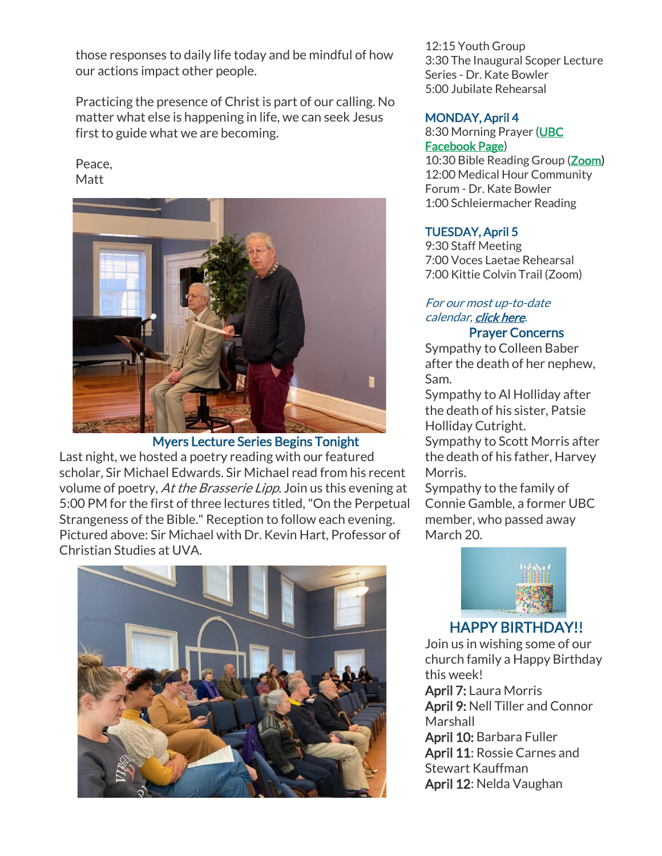those responses to daily life today and be mindful of how our actions impact other people.

Practicing the presence of Christ is part of our calling. No matter what else is happening in life, we can seek Jesus first to guide what we are becoming.

# Peace, Matt



Myers Lecture Series Begins Tonight Last night, we hosted a poetry reading with our featured scholar, Sir Michael Edwards. Sir Michael read from his recent volume of poetry, At the Brasserie Lipp. Join us this evening at 5:00 PM for the first of three lectures titled, "On the Perpetual Strangeness of the Bible." Reception to follow each evening. Pictured above: Sir Michael with Dr. Kevin Hart, Professor of Christian Studies at UVA.



12:15 Youth Group 3:30 The Inaugural Scoper Lecture Series - Dr. Kate Bowler 5:00 Jubilate Rehearsal

# MONDAY, April 4

# 8:30 Morning Prayer [\(UBC](https://www.facebook.com/UniversityBaptistChurchCharlottesville) [Facebook Page\)](https://www.facebook.com/UniversityBaptistChurchCharlottesville)

10:30 Bible Reading Group [\(Zoom\)](https://us02web.zoom.us/j/85381408096?pwd=MzdkVG9JZ2x0M2JFK01KNlNjSWtqUT09) 12:00 Medical Hour Community Forum - Dr. Kate Bowler 1:00 Schleiermacher Reading

# TUESDAY, April 5

9:30 Staff Meeting 7:00 Voces Laetae Rehearsal 7:00 Kittie Colvin Trail (Zoom)

#### For our most up-to-date calendar, [click here.](https://universitybaptist.org/calendar/) Prayer Concerns

Sympathy to Colleen Baber after the death of her nephew, Sam.

Sympathy to Al Holliday after the death of his sister, Patsie Holliday Cutright.

Sympathy to Scott Morris after the death of his father, Harvey Morris.

Sympathy to the family of Connie Gamble, a former UBC member, who passed away March 20.



# HAPPY BIRTHDAY!!

Join us in wishing some of our church family a Happy Birthday this week! April 7: Laura Morris April 9: Nell Tiller and Connor Marshall April 10: Barbara Fuller April 11: Rossie Carnes and Stewart Kauffman April 12: Nelda Vaughan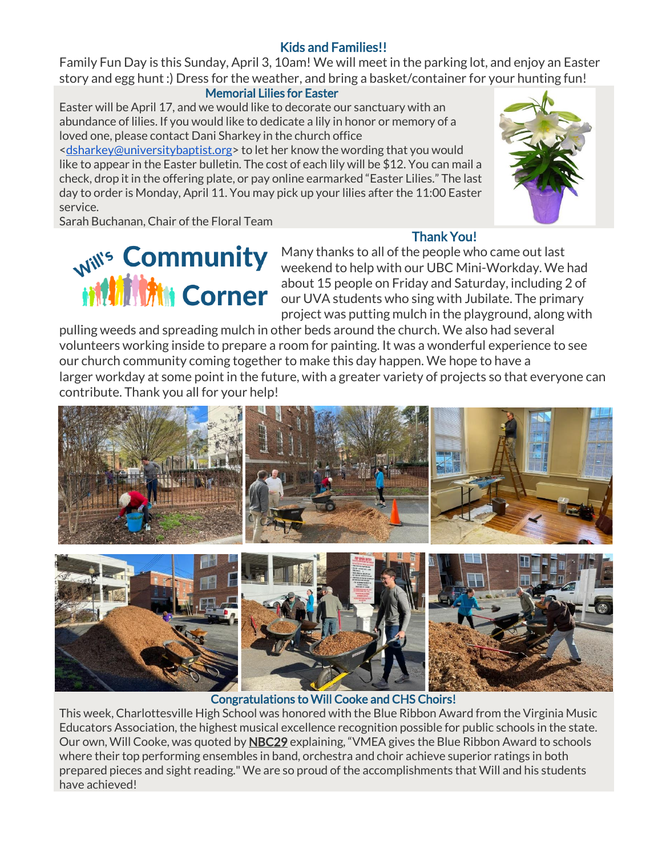# Kids and Families!!

Family Fun Day is this Sunday, April 3, 10am! We will meet in the parking lot, and enjoy an Easter story and egg hunt :) Dress for the weather, and bring a basket/container for your hunting fun!

# Memorial Lilies for Easter

Easter will be April 17, and we would like to decorate our sanctuary with an abundance of lilies. If you would like to dedicate a lily in honor or memory of a loved one, please contact Dani Sharkey in the church office

[<dsharkey@universitybaptist.org>](mailto:dsharkey@universitybaptist.org) to let her know the wording that you would like to appear in the Easter bulletin. The cost of each lily will be \$12. You can mail a check, drop it in the offering plate, or pay online earmarked "Easter Lilies." The last day to order is Monday, April 11. You may pick up your lilies after the 11:00 Easter service.



Sarah Buchanan, Chair of the Floral Team

Thank You!

Many thanks to all of the people who came out last weekend to help with our UBC Mini-Workday. We had about 15 people on Friday and Saturday, including 2 of our UVA students who sing with Jubilate. The primary project was putting mulch in the playground, along with

pulling weeds and spreading mulch in other beds around the church. We also had several volunteers working inside to prepare a room for painting. It was a wonderful experience to see our church community coming together to make this day happen. We hope to have a larger workday at some point in the future, with a greater variety of projects so that everyone can contribute. Thank you all for your help!



# Congratulations to Will Cooke and CHS Choirs!

This week, Charlottesville High School was honored with the Blue Ribbon Award from the Virginia Music Educators Association, the highest musical excellence recognition possible for public schools in the state. Our own, Will Cooke, was quoted by **[NBC29](https://www.nbc29.com/2022/03/26/chs-choir-earns-blue-ribbon-award-musical-excellence/)** explaining, "VMEA gives the Blue Ribbon Award to schools where their top performing ensembles in band, orchestra and choir achieve superior ratings in both prepared pieces and sight reading." We are so proud of the accomplishments that Will and his students have achieved!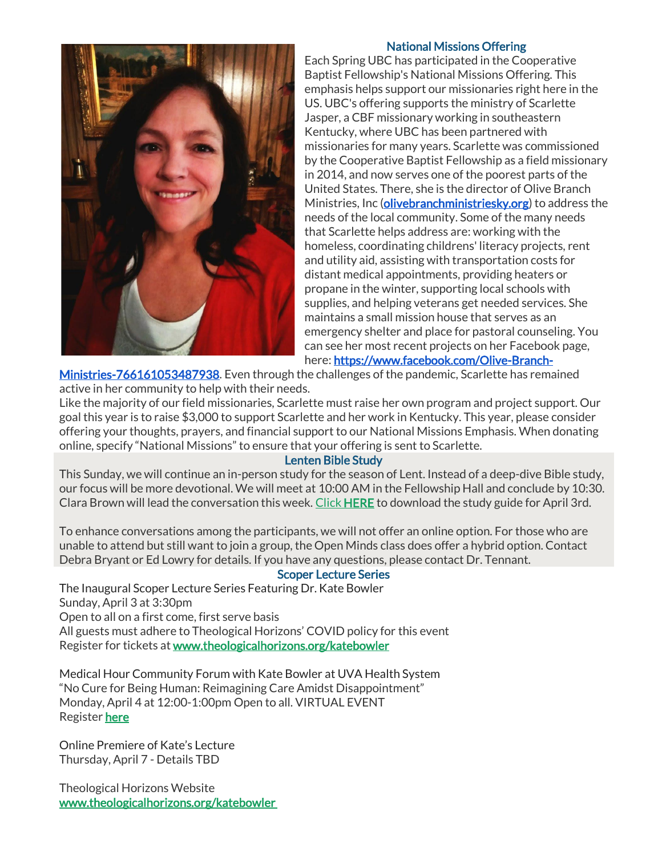

# National Missions Offering

Each Spring UBC has participated in the Cooperative Baptist Fellowship's National Missions Offering. This emphasis helps support our missionaries right here in the US. UBC's offering supports the ministry of Scarlette Jasper, a CBF missionary working in southeastern Kentucky, where UBC has been partnered with missionaries for many years. Scarlette was commissioned by the Cooperative Baptist Fellowship as a field missionary in 2014, and now serves one of the poorest parts of the United States. There, she is the director of Olive Branch Ministries, Inc [\(olivebranchministriesky.org\)](http://olivebranchministriesky.org/) to address the needs of the local community. Some of the many needs that Scarlette helps address are: working with the homeless, coordinating childrens' literacy projects, rent and utility aid, assisting with transportation costs for distant medical appointments, providing heaters or propane in the winter, supporting local schools with supplies, and helping veterans get needed services. She maintains a small mission house that serves as an emergency shelter and place for pastoral counseling. You can see her most recent projects on her Facebook page, here: [https://www.facebook.com/Olive-Branch-](https://www.facebook.com/Olive-Branch-Ministries-766161053487938)

[Ministries-766161053487938.](https://www.facebook.com/Olive-Branch-Ministries-766161053487938) Even through the challenges of the pandemic, Scarlette has remained active in her community to help with their needs.

Like the majority of our field missionaries, Scarlette must raise her own program and project support. Our goal this year is to raise \$3,000 to support Scarlette and her work in Kentucky. This year, please consider offering your thoughts, prayers, and financial support to our National Missions Emphasis. When donating online, specify "National Missions" to ensure that your offering is sent to Scarlette.

# Lenten Bible Study

This Sunday, we will continue an in-person study for the season of Lent. Instead of a deep-dive Bible study, our focus will be more devotional. We will meet at 10:00 AM in the Fellowship Hall and conclude by 10:30. Clara Brown will lead the conversation this week. [Click](https://universitybaptist.org/wp-content/uploads/2022/03/Session4.pdf) [HERE](https://universitybaptist.org/wp-content/uploads/2022/03/Session5.pdf) to download the study guide for April 3rd.

To enhance conversations among the participants, we will not offer an online option. For those who are unable to attend but still want to join a group, the Open Minds class does offer a hybrid option. Contact Debra Bryant or Ed Lowry for details. If you have any questions, please contact Dr. Tennant.

# Scoper Lecture Series

The Inaugural Scoper Lecture Series Featuring Dr. Kate Bowler Sunday, April 3 at 3:30pm Open to all on a first come, first serve basis All guests must adhere to Theological Horizons' COVID policy for this event Register for tickets at [www.theologicalhorizons.org/katebowler](http://www.theologicalhorizons.org/katebowler)

Medical Hour Community Forum with Kate Bowler at UVA Health System "No Cure for Being Human: Reimagining Care Amidst Disappointment" Monday, April 4 at 12:00-1:00pm Open to all. VIRTUAL EVENT Register [here](https://secure.lglforms.com/form_engine/s/goGK97Cgdv2cCr1DqFdPpA)

Online Premiere of Kate's Lecture Thursday, April 7 - Details TBD

Theological Horizons Website [www.theologicalhorizons.org/katebowler](http://www.theologicalhorizons.org/katebowler)